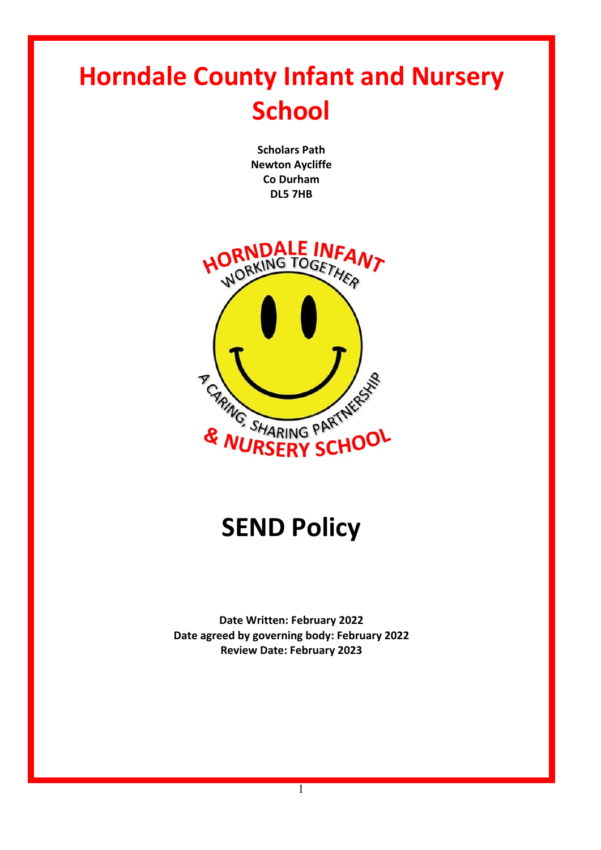# **Horndale County Infant and Nursery School**

**Scholars Path Newton Aycliffe Co Durham DL5 7HB**



# **SEND Policy**

**Date Written: February 2022 Date agreed by governing body: February 2022 Review Date: February 2023**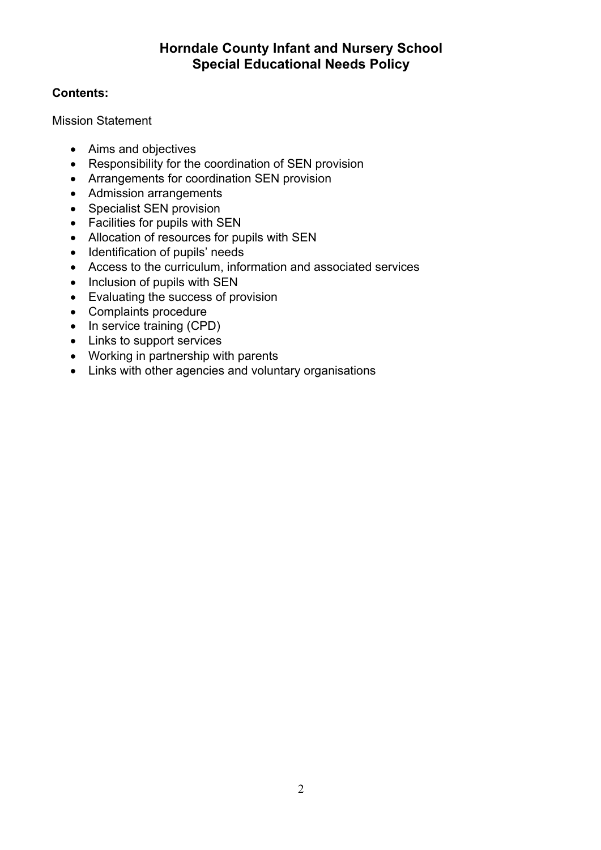# **Horndale County Infant and Nursery School Special Educational Needs Policy**

# **Contents:**

Mission Statement

- Aims and objectives
- Responsibility for the coordination of SEN provision
- Arrangements for coordination SEN provision
- Admission arrangements
- Specialist SEN provision
- Facilities for pupils with SEN
- Allocation of resources for pupils with SEN
- Identification of pupils' needs
- Access to the curriculum, information and associated services
- Inclusion of pupils with SEN
- Evaluating the success of provision
- Complaints procedure
- In service training (CPD)
- Links to support services
- Working in partnership with parents
- Links with other agencies and voluntary organisations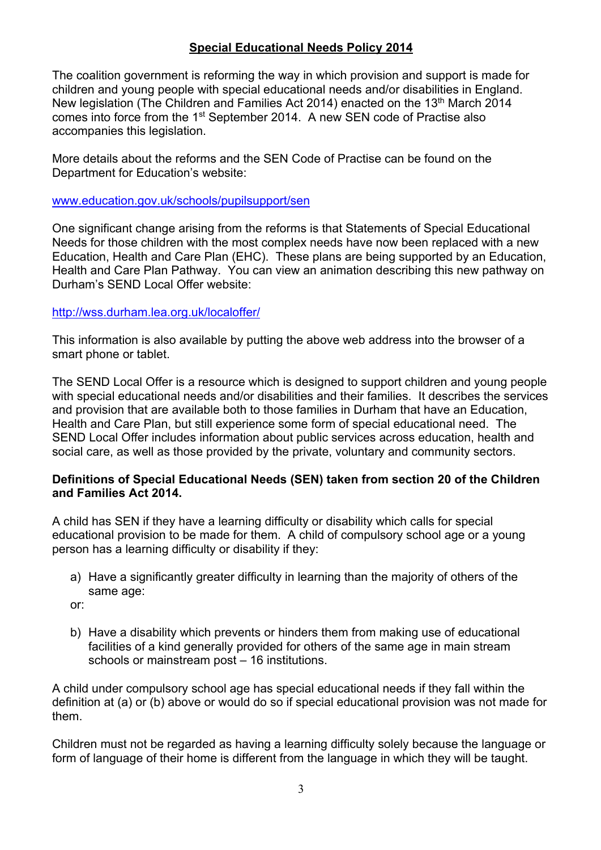#### **Special Educational Needs Policy 2014**

The coalition government is reforming the way in which provision and support is made for children and young people with special educational needs and/or disabilities in England. New legislation (The Children and Families Act 2014) enacted on the 13<sup>th</sup> March 2014 comes into force from the 1st September 2014. A new SEN code of Practise also accompanies this legislation.

More details about the reforms and the SEN Code of Practise can be found on the Department for Education's website:

www.education.gov.uk/schools/pupilsupport/sen

One significant change arising from the reforms is that Statements of Special Educational Needs for those children with the most complex needs have now been replaced with a new Education, Health and Care Plan (EHC). These plans are being supported by an Education, Health and Care Plan Pathway. You can view an animation describing this new pathway on Durham's SEND Local Offer website:

#### http://wss.durham.lea.org.uk/localoffer/

This information is also available by putting the above web address into the browser of a smart phone or tablet.

The SEND Local Offer is a resource which is designed to support children and young people with special educational needs and/or disabilities and their families. It describes the services and provision that are available both to those families in Durham that have an Education, Health and Care Plan, but still experience some form of special educational need. The SEND Local Offer includes information about public services across education, health and social care, as well as those provided by the private, voluntary and community sectors.

#### **Definitions of Special Educational Needs (SEN) taken from section 20 of the Children and Families Act 2014.**

A child has SEN if they have a learning difficulty or disability which calls for special educational provision to be made for them. A child of compulsory school age or a young person has a learning difficulty or disability if they:

a) Have a significantly greater difficulty in learning than the majority of others of the same age:

or:

b) Have a disability which prevents or hinders them from making use of educational facilities of a kind generally provided for others of the same age in main stream schools or mainstream post – 16 institutions.

A child under compulsory school age has special educational needs if they fall within the definition at (a) or (b) above or would do so if special educational provision was not made for them.

Children must not be regarded as having a learning difficulty solely because the language or form of language of their home is different from the language in which they will be taught.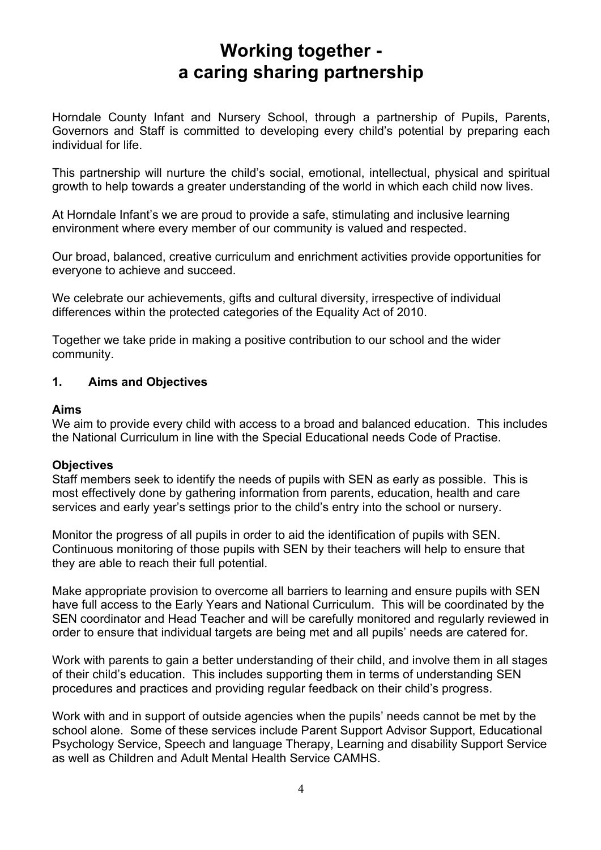# **Working together a caring sharing partnership**

Horndale County Infant and Nursery School, through a partnership of Pupils, Parents, Governors and Staff is committed to developing every child's potential by preparing each individual for life.

This partnership will nurture the child's social, emotional, intellectual, physical and spiritual growth to help towards a greater understanding of the world in which each child now lives.

At Horndale Infant's we are proud to provide a safe, stimulating and inclusive learning environment where every member of our community is valued and respected.

Our broad, balanced, creative curriculum and enrichment activities provide opportunities for everyone to achieve and succeed.

We celebrate our achievements, gifts and cultural diversity, irrespective of individual differences within the protected categories of the Equality Act of 2010.

Together we take pride in making a positive contribution to our school and the wider community.

#### **1. Aims and Objectives**

#### **Aims**

We aim to provide every child with access to a broad and balanced education. This includes the National Curriculum in line with the Special Educational needs Code of Practise.

#### **Objectives**

Staff members seek to identify the needs of pupils with SEN as early as possible. This is most effectively done by gathering information from parents, education, health and care services and early year's settings prior to the child's entry into the school or nursery.

Monitor the progress of all pupils in order to aid the identification of pupils with SEN. Continuous monitoring of those pupils with SEN by their teachers will help to ensure that they are able to reach their full potential.

Make appropriate provision to overcome all barriers to learning and ensure pupils with SEN have full access to the Early Years and National Curriculum. This will be coordinated by the SEN coordinator and Head Teacher and will be carefully monitored and regularly reviewed in order to ensure that individual targets are being met and all pupils' needs are catered for.

Work with parents to gain a better understanding of their child, and involve them in all stages of their child's education. This includes supporting them in terms of understanding SEN procedures and practices and providing regular feedback on their child's progress.

Work with and in support of outside agencies when the pupils' needs cannot be met by the school alone. Some of these services include Parent Support Advisor Support, Educational Psychology Service, Speech and language Therapy, Learning and disability Support Service as well as Children and Adult Mental Health Service CAMHS.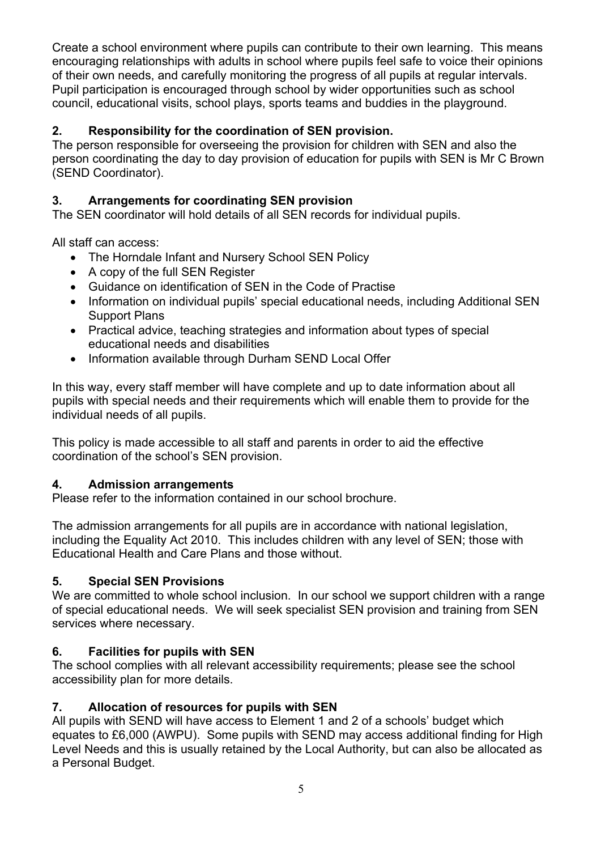Create a school environment where pupils can contribute to their own learning. This means encouraging relationships with adults in school where pupils feel safe to voice their opinions of their own needs, and carefully monitoring the progress of all pupils at regular intervals. Pupil participation is encouraged through school by wider opportunities such as school council, educational visits, school plays, sports teams and buddies in the playground.

# **2. Responsibility for the coordination of SEN provision.**

The person responsible for overseeing the provision for children with SEN and also the person coordinating the day to day provision of education for pupils with SEN is Mr C Brown (SEND Coordinator).

# **3. Arrangements for coordinating SEN provision**

The SEN coordinator will hold details of all SEN records for individual pupils.

All staff can access:

- The Horndale Infant and Nursery School SEN Policy
- A copy of the full SEN Register
- Guidance on identification of SEN in the Code of Practise
- Information on individual pupils' special educational needs, including Additional SEN Support Plans
- Practical advice, teaching strategies and information about types of special educational needs and disabilities
- Information available through Durham SEND Local Offer

In this way, every staff member will have complete and up to date information about all pupils with special needs and their requirements which will enable them to provide for the individual needs of all pupils.

This policy is made accessible to all staff and parents in order to aid the effective coordination of the school's SEN provision.

#### **4. Admission arrangements**

Please refer to the information contained in our school brochure.

The admission arrangements for all pupils are in accordance with national legislation, including the Equality Act 2010. This includes children with any level of SEN; those with Educational Health and Care Plans and those without.

# **5. Special SEN Provisions**

We are committed to whole school inclusion. In our school we support children with a range of special educational needs. We will seek specialist SEN provision and training from SEN services where necessary.

# **6. Facilities for pupils with SEN**

The school complies with all relevant accessibility requirements; please see the school accessibility plan for more details.

#### **7. Allocation of resources for pupils with SEN**

All pupils with SEND will have access to Element 1 and 2 of a schools' budget which equates to £6,000 (AWPU). Some pupils with SEND may access additional finding for High Level Needs and this is usually retained by the Local Authority, but can also be allocated as a Personal Budget.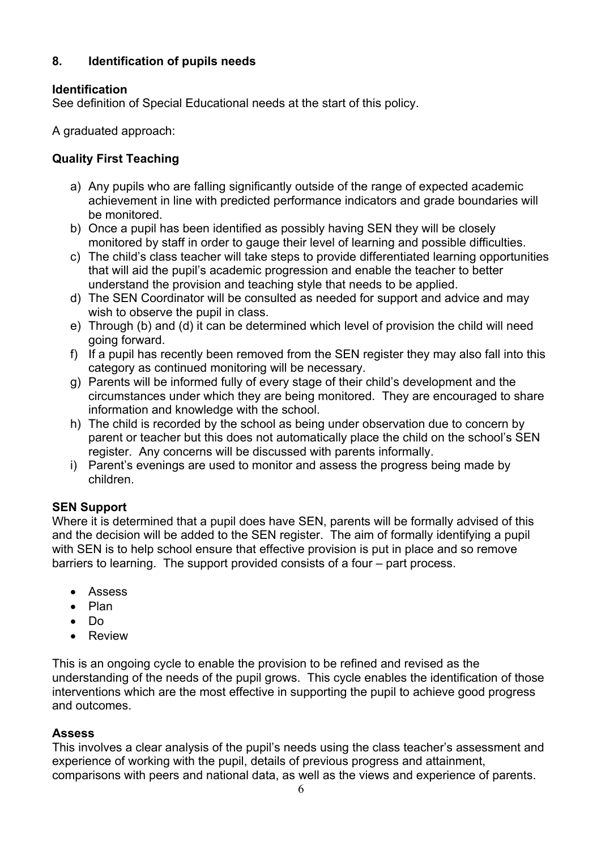## **8. Identification of pupils needs**

#### **Identification**

See definition of Special Educational needs at the start of this policy.

A graduated approach:

#### **Quality First Teaching**

- a) Any pupils who are falling significantly outside of the range of expected academic achievement in line with predicted performance indicators and grade boundaries will be monitored.
- b) Once a pupil has been identified as possibly having SEN they will be closely monitored by staff in order to gauge their level of learning and possible difficulties.
- c) The child's class teacher will take steps to provide differentiated learning opportunities that will aid the pupil's academic progression and enable the teacher to better understand the provision and teaching style that needs to be applied.
- d) The SEN Coordinator will be consulted as needed for support and advice and may wish to observe the pupil in class.
- e) Through (b) and (d) it can be determined which level of provision the child will need going forward.
- f) If a pupil has recently been removed from the SEN register they may also fall into this category as continued monitoring will be necessary.
- g) Parents will be informed fully of every stage of their child's development and the circumstances under which they are being monitored. They are encouraged to share information and knowledge with the school.
- h) The child is recorded by the school as being under observation due to concern by parent or teacher but this does not automatically place the child on the school's SEN register. Any concerns will be discussed with parents informally.
- i) Parent's evenings are used to monitor and assess the progress being made by children.

#### **SEN Support**

Where it is determined that a pupil does have SEN, parents will be formally advised of this and the decision will be added to the SEN register. The aim of formally identifying a pupil with SEN is to help school ensure that effective provision is put in place and so remove barriers to learning. The support provided consists of a four – part process.

- Assess
- Plan
- Do
- Review

This is an ongoing cycle to enable the provision to be refined and revised as the understanding of the needs of the pupil grows. This cycle enables the identification of those interventions which are the most effective in supporting the pupil to achieve good progress and outcomes.

#### **Assess**

This involves a clear analysis of the pupil's needs using the class teacher's assessment and experience of working with the pupil, details of previous progress and attainment, comparisons with peers and national data, as well as the views and experience of parents.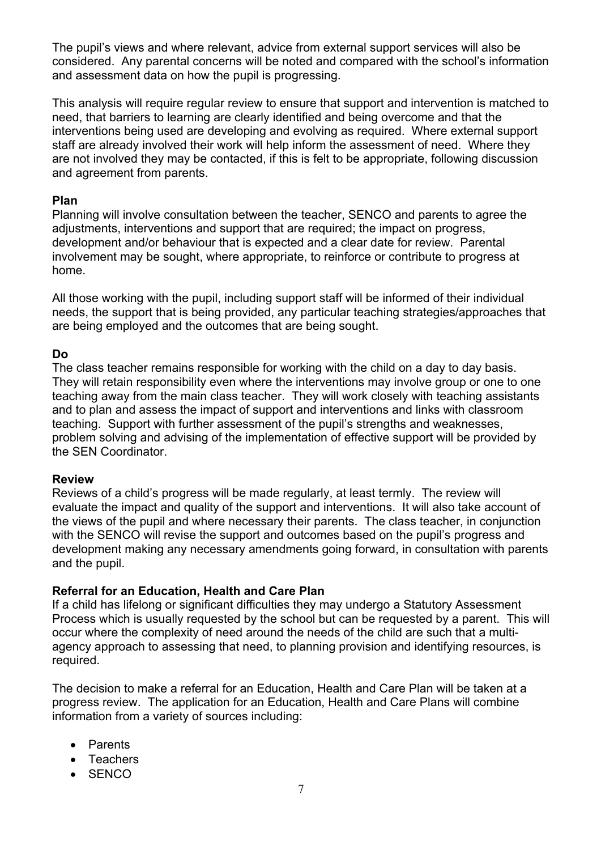The pupil's views and where relevant, advice from external support services will also be considered. Any parental concerns will be noted and compared with the school's information and assessment data on how the pupil is progressing.

This analysis will require regular review to ensure that support and intervention is matched to need, that barriers to learning are clearly identified and being overcome and that the interventions being used are developing and evolving as required. Where external support staff are already involved their work will help inform the assessment of need. Where they are not involved they may be contacted, if this is felt to be appropriate, following discussion and agreement from parents.

#### **Plan**

Planning will involve consultation between the teacher, SENCO and parents to agree the adjustments, interventions and support that are required; the impact on progress, development and/or behaviour that is expected and a clear date for review. Parental involvement may be sought, where appropriate, to reinforce or contribute to progress at home.

All those working with the pupil, including support staff will be informed of their individual needs, the support that is being provided, any particular teaching strategies/approaches that are being employed and the outcomes that are being sought.

#### **Do**

The class teacher remains responsible for working with the child on a day to day basis. They will retain responsibility even where the interventions may involve group or one to one teaching away from the main class teacher. They will work closely with teaching assistants and to plan and assess the impact of support and interventions and links with classroom teaching. Support with further assessment of the pupil's strengths and weaknesses, problem solving and advising of the implementation of effective support will be provided by the SEN Coordinator.

#### **Review**

Reviews of a child's progress will be made regularly, at least termly. The review will evaluate the impact and quality of the support and interventions. It will also take account of the views of the pupil and where necessary their parents. The class teacher, in conjunction with the SENCO will revise the support and outcomes based on the pupil's progress and development making any necessary amendments going forward, in consultation with parents and the pupil.

#### **Referral for an Education, Health and Care Plan**

If a child has lifelong or significant difficulties they may undergo a Statutory Assessment Process which is usually requested by the school but can be requested by a parent. This will occur where the complexity of need around the needs of the child are such that a multiagency approach to assessing that need, to planning provision and identifying resources, is required.

The decision to make a referral for an Education, Health and Care Plan will be taken at a progress review. The application for an Education, Health and Care Plans will combine information from a variety of sources including:

- Parents
- Teachers
- SENCO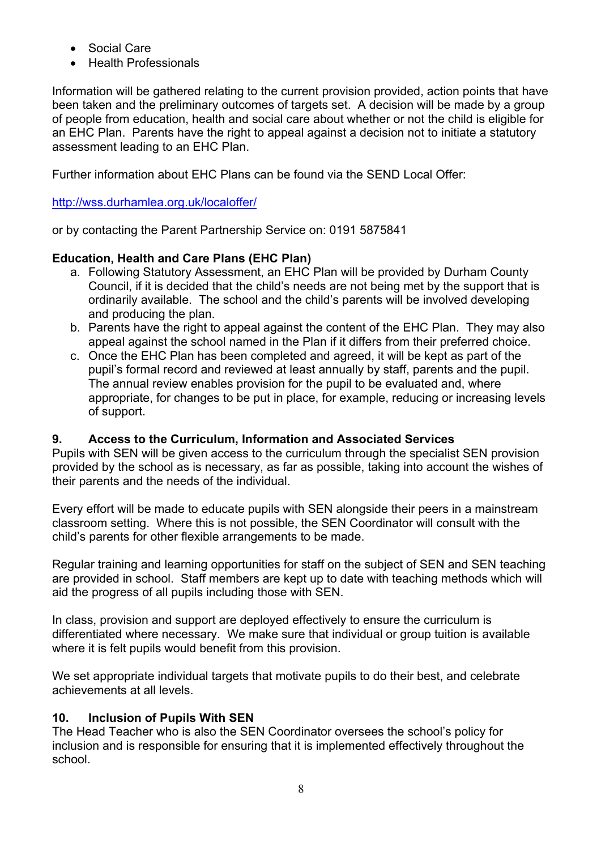- Social Care
- Health Professionals

Information will be gathered relating to the current provision provided, action points that have been taken and the preliminary outcomes of targets set. A decision will be made by a group of people from education, health and social care about whether or not the child is eligible for an EHC Plan. Parents have the right to appeal against a decision not to initiate a statutory assessment leading to an EHC Plan.

Further information about EHC Plans can be found via the SEND Local Offer:

#### http://wss.durhamlea.org.uk/localoffer/

or by contacting the Parent Partnership Service on: 0191 5875841

# **Education, Health and Care Plans (EHC Plan)**

- a. Following Statutory Assessment, an EHC Plan will be provided by Durham County Council, if it is decided that the child's needs are not being met by the support that is ordinarily available. The school and the child's parents will be involved developing and producing the plan.
- b. Parents have the right to appeal against the content of the EHC Plan. They may also appeal against the school named in the Plan if it differs from their preferred choice.
- c. Once the EHC Plan has been completed and agreed, it will be kept as part of the pupil's formal record and reviewed at least annually by staff, parents and the pupil. The annual review enables provision for the pupil to be evaluated and, where appropriate, for changes to be put in place, for example, reducing or increasing levels of support.

#### **9. Access to the Curriculum, Information and Associated Services**

Pupils with SEN will be given access to the curriculum through the specialist SEN provision provided by the school as is necessary, as far as possible, taking into account the wishes of their parents and the needs of the individual.

Every effort will be made to educate pupils with SEN alongside their peers in a mainstream classroom setting. Where this is not possible, the SEN Coordinator will consult with the child's parents for other flexible arrangements to be made.

Regular training and learning opportunities for staff on the subject of SEN and SEN teaching are provided in school. Staff members are kept up to date with teaching methods which will aid the progress of all pupils including those with SEN.

In class, provision and support are deployed effectively to ensure the curriculum is differentiated where necessary. We make sure that individual or group tuition is available where it is felt pupils would benefit from this provision.

We set appropriate individual targets that motivate pupils to do their best, and celebrate achievements at all levels.

#### **10. Inclusion of Pupils With SEN**

The Head Teacher who is also the SEN Coordinator oversees the school's policy for inclusion and is responsible for ensuring that it is implemented effectively throughout the school.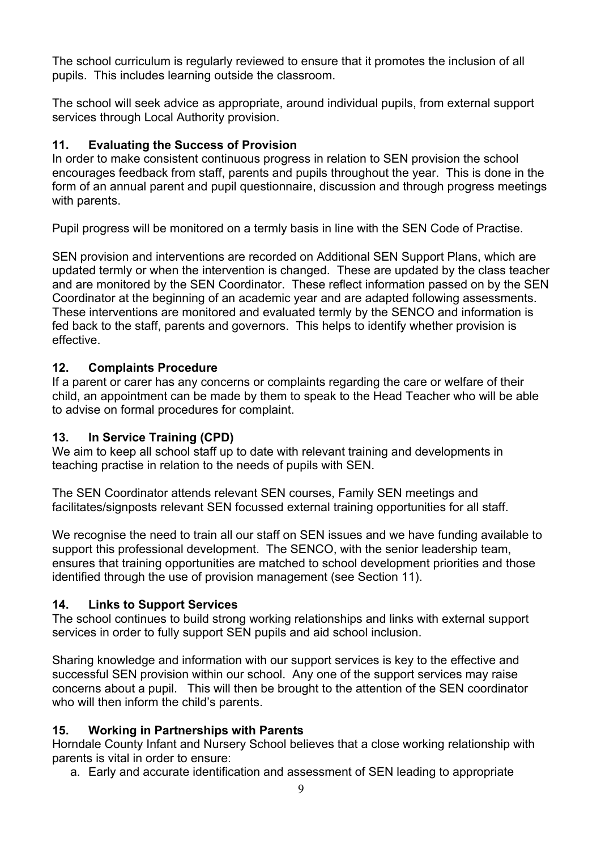The school curriculum is regularly reviewed to ensure that it promotes the inclusion of all pupils. This includes learning outside the classroom.

The school will seek advice as appropriate, around individual pupils, from external support services through Local Authority provision.

# **11. Evaluating the Success of Provision**

In order to make consistent continuous progress in relation to SEN provision the school encourages feedback from staff, parents and pupils throughout the year. This is done in the form of an annual parent and pupil questionnaire, discussion and through progress meetings with parents.

Pupil progress will be monitored on a termly basis in line with the SEN Code of Practise.

SEN provision and interventions are recorded on Additional SEN Support Plans, which are updated termly or when the intervention is changed. These are updated by the class teacher and are monitored by the SEN Coordinator. These reflect information passed on by the SEN Coordinator at the beginning of an academic year and are adapted following assessments. These interventions are monitored and evaluated termly by the SENCO and information is fed back to the staff, parents and governors. This helps to identify whether provision is effective.

# **12. Complaints Procedure**

If a parent or carer has any concerns or complaints regarding the care or welfare of their child, an appointment can be made by them to speak to the Head Teacher who will be able to advise on formal procedures for complaint.

#### **13. In Service Training (CPD)**

We aim to keep all school staff up to date with relevant training and developments in teaching practise in relation to the needs of pupils with SEN.

The SEN Coordinator attends relevant SEN courses, Family SEN meetings and facilitates/signposts relevant SEN focussed external training opportunities for all staff.

We recognise the need to train all our staff on SEN issues and we have funding available to support this professional development. The SENCO, with the senior leadership team, ensures that training opportunities are matched to school development priorities and those identified through the use of provision management (see Section 11).

#### **14. Links to Support Services**

The school continues to build strong working relationships and links with external support services in order to fully support SEN pupils and aid school inclusion.

Sharing knowledge and information with our support services is key to the effective and successful SEN provision within our school. Any one of the support services may raise concerns about a pupil. This will then be brought to the attention of the SEN coordinator who will then inform the child's parents.

# **15. Working in Partnerships with Parents**

Horndale County Infant and Nursery School believes that a close working relationship with parents is vital in order to ensure:

a. Early and accurate identification and assessment of SEN leading to appropriate